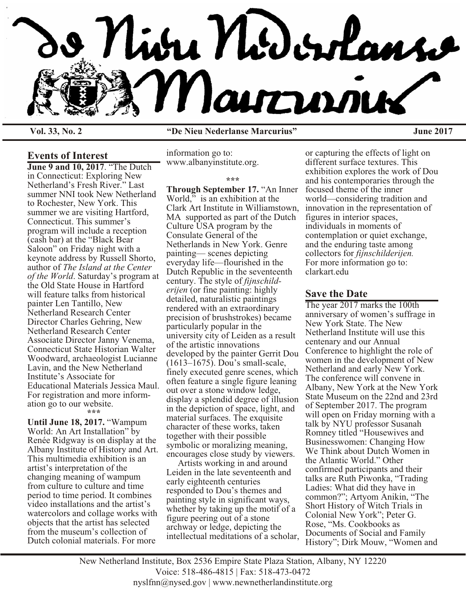

**Vol. 33, No. 2 "De Nieu Nederlanse Marcurius" June 2017**

## **Events of Interest**

**June 9 and 10, 2017**. "The Dutch in Connecticut: Exploring New Netherland's Fresh River." Last summer NNI took New Netherland to Rochester, New York. This summer we are visiting Hartford, Connecticut. This summer's program will include a reception (cash bar) at the "Black Bear Saloon" on Friday night with a keynote address by Russell Shorto, author of *The Island at the Center of the World*. Saturday's program at the Old State House in Hartford will feature talks from historical painter Len Tantillo, New Netherland Research Center Director Charles Gehring, New Netherland Research Center Associate Director Janny Venema, Connecticut State Historian Walter Woodward, archaeologist Lucianne Lavin, and the New Netherland Institute's Associate for Educational Materials Jessica Maul. For registration and more information go to our website. **\*\*\***

**Until June 18, 2017.** "Wampum World: An Art Installation" by Renée Ridgway is on display at the Albany Institute of History and Art. This multimedia exhibition is an artist's interpretation of the changing meaning of wampum from culture to culture and time period to time period. It combines video installations and the artist's watercolors and collage works with objects that the artist has selected from the museum's collection of Dutch colonial materials. For more

information go to: www.albanyinstitute.org.

# **\*\*\***

**Through September 17.** "An Inner World," is an exhibition at the Clark Art Institute in Williamstown, MA supported as part of the Dutch Culture USA program by the Consulate General of the Netherlands in New York. Genre painting— scenes depicting everyday life—flourished in the Dutch Republic in the seventeenth century. The style of *fijnschilderijen* (or fine painting: highly detailed, naturalistic paintings rendered with an extraordinary precision of brushstrokes) became particularly popular in the university city of Leiden as a result of the artistic innovations developed by the painter Gerrit Dou (1613–1675). Dou's small-scale, finely executed genre scenes, which often feature a single figure leaning out over a stone window ledge, display a splendid degree of illusion in the depiction of space, light, and material surfaces. The exquisite character of these works, taken together with their possible symbolic or moralizing meaning, encourages close study by viewers.

 Artists working in and around Leiden in the late seventeenth and early eighteenth centuries responded to Dou's themes and painting style in significant ways, whether by taking up the motif of a figure peering out of a stone archway or ledge, depicting the intellectual meditations of a scholar,

or capturing the effects of light on different surface textures. This exhibition explores the work of Dou and his contemporaries through the focused theme of the inner world—considering tradition and innovation in the representation of figures in interior spaces, individuals in moments of contemplation or quiet exchange, and the enduring taste among collectors for *fijnschilderijen.* For more information go to: clarkart.edu

## **Save the Date**

The year 2017 marks the 100th anniversary of women's suffrage in New York State. The New Netherland Institute will use this centenary and our Annual Conference to highlight the role of women in the development of New Netherland and early New York. The conference will convene in Albany, New York at the New York State Museum on the 22nd and 23rd of September 2017. The program will open on Friday morning with a talk by NYU professor Susanah Romney titled "Housewives and Businesswomen: Changing How We Think about Dutch Women in the Atlantic World." Other confirmed participants and their talks are Ruth Piwonka, "Trading Ladies: What did they have in common?"; Artyom Anikin, "The Short History of Witch Trials in Colonial New York"; Peter G. Rose, "Ms. Cookbooks as Documents of Social and Family History"; Dirk Mouw, "Women and

New Netherland Institute, Box 2536 Empire State Plaza Station, Albany, NY 12220 Voice: 518-486-4815 | Fax: 518-473-0472 nyslfnn@nysed.gov | www.newnetherlandinstitute.org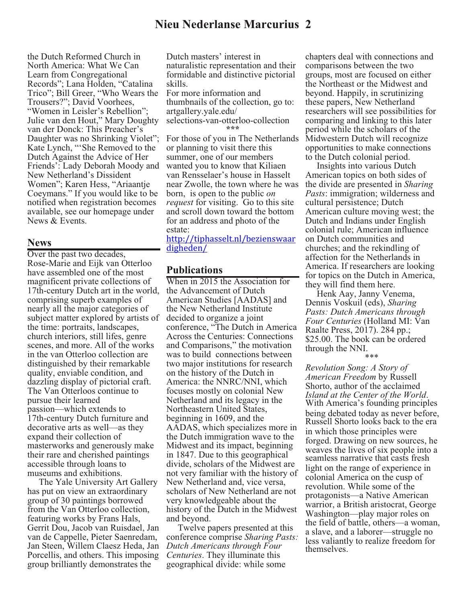# **Nieu Nederlanse Marcurius 2**

the Dutch Reformed Church in North America: What We Can Learn from Congregational Records"; Lana Holden, "Catalina Trico"; Bill Greer, "Who Wears the Trousers?"; David Voorhees, "Women in Leisler's Rebellion"; Julie van den Hout," Mary Doughty van der Donck: This Preacher's Daughter was no Shrinking Violet"; Kate Lynch, "'She Removed to the Dutch Against the Advice of Her Friends': Lady Deborah Moody and New Netherland's Dissident Women"; Karen Hess, "Ariaantje Coeymans." If you would like to be notified when registration becomes available, see our homepage under News & Events.

#### **News**

Over the past two decades, Rose-Marie and Eijk van Otterloo have assembled one of the most magnificent private collections of 17th-century Dutch art in the world, comprising superb examples of nearly all the major categories of subject matter explored by artists of the time: portraits, landscapes, church interiors, still lifes, genre scenes, and more. All of the works in the van Otterloo collection are distinguished by their remarkable quality, enviable condition, and dazzling display of pictorial craft. The Van Otterloos continue to pursue their learned passion—which extends to 17th-century Dutch furniture and decorative arts as well—as they expand their collection of masterworks and generously make their rare and cherished paintings accessible through loans to museums and exhibitions.

 The Yale University Art Gallery has put on view an extraordinary group of 30 paintings borrowed from the Van Otterloo collection, featuring works by Frans Hals, Gerrit Dou, Jacob van Ruisdael, Jan van de Cappelle, Pieter Saenredam, Jan Steen, Willem Claesz Heda, Jan Porcellis, and others. This imposing group brilliantly demonstrates the

Dutch masters' interest in naturalistic representation and their formidable and distinctive pictorial skills.

For more information and thumbnails of the collection, go to: artgallery.yale.edu/ selections-van-otterloo-collection **\*\*\***

For those of you in The Netherlands or planning to visit there this summer, one of our members wanted you to know that Kiliaen van Rensselaer's house in Hasselt near Zwolle, the town where he was born, is open to the public *on request* for visiting. Go to this site and scroll down toward the bottom for an address and photo of the estate:

[http://tiphasselt.nl/bezienswaar](http://tiphasselt.nl/bezienswaardigheden/) [digheden/](http://tiphasselt.nl/bezienswaardigheden/)

## **Publications**

When in 2015 the Association for the Advancement of Dutch American Studies [AADAS] and the New Netherland Institute decided to organize a joint conference, "The Dutch in America Across the Centuries: Connections and Comparisons," the motivation was to build connections between two major institutions for research on the history of the Dutch in America: the NNRC/NNI, which focuses mostly on colonial New Netherland and its legacy in the Northeastern United States, beginning in 1609, and the AADAS, which specializes more in the Dutch immigration wave to the Midwest and its impact, beginning in 1847. Due to this geographical divide, scholars of the Midwest are not very familiar with the history of New Netherland and, vice versa, scholars of New Netherland are not very knowledgeable about the history of the Dutch in the Midwest and beyond.

 Twelve papers presented at this conference comprise *Sharing Pasts: Dutch Americans through Four Centuries*. They illuminate this geographical divide: while some

chapters deal with connections and comparisons between the two groups, most are focused on either the Northeast or the Midwest and beyond. Happily, in scrutinizing these papers, New Netherland researchers will see possibilities for comparing and linking to this later period while the scholars of the Midwestern Dutch will recognize opportunities to make connections to the Dutch colonial period.

 Insights into various Dutch American topics on both sides of the divide are presented in *Sharing Pasts*: immigration; wilderness and cultural persistence; Dutch American culture moving west; the Dutch and Indians under English colonial rule; American influence on Dutch communities and churches; and the rekindling of affection for the Netherlands in America. If researchers are looking for topics on the Dutch in America, they will find them here.

 Henk Aay, Janny Venema, Dennis Voskuil (eds), *Sharing Pasts: Dutch Americans through Four Centuries* (Holland MI: Van Raalte Press, 2017). 284 pp.; \$25.00. The book can be ordered through the NNI. \*\*\*

*Revolution Song: A Story of American Freedom* by Russell Shorto, author of the acclaimed *Island at the Center of the World*. With America's founding principles being debated today as never before, Russell Shorto looks back to the era in which those principles were forged. Drawing on new sources, he weaves the lives of six people into a seamless narrative that casts fresh light on the range of experience in colonial America on the cusp of revolution. While some of the protagonists—a Native American warrior, a British aristocrat, George Washington—play major roles on the field of battle, others—a woman, a slave, and a laborer—struggle no less valiantly to realize freedom for themselves.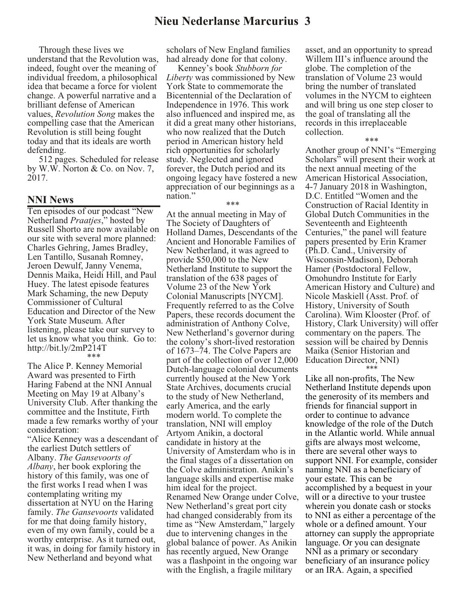# **Nieu Nederlanse Marcurius 3**

 Through these lives we understand that the Revolution was, indeed, fought over the meaning of individual freedom, a philosophical idea that became a force for violent change. A powerful narrative and a brilliant defense of American values, *Revolution Song* makes the compelling case that the American Revolution is still being fought today and that its ideals are worth defending.

 512 pages. Scheduled for release by W.W. Norton & Co. on Nov. 7, 2017.

#### **NNI News**

Ten episodes of our podcast "New Netherland *Praatjes*," hosted by Russell Shorto are now available on our site with several more planned: Charles Gehring, James Bradley, Len Tantillo, Susanah Romney, Jeroen Dewulf, Janny Venema, Dennis Maika, Heidi Hill, and Paul Huey. The latest episode features Mark Schaming, the new Deputy Commissioner of Cultural Education and Director of the New York State Museum. After listening, please take our survey to let us know what you think. Go to: http://bit.ly/2mP214T \*\*\*

The Alice P. Kenney Memorial Award was presented to Firth Haring Fabend at the NNI Annual Meeting on May 19 at Albany's University Club. After thanking the committee and the Institute, Firth made a few remarks worthy of your consideration:

"Alice Kenney was a descendant of the earliest Dutch settlers of Albany. *The Gansevoorts of Albany*, her book exploring the history of this family, was one of the first works I read when I was contemplating writing my dissertation at NYU on the Haring family. *The Gansevoorts* validated for me that doing family history, even of my own family, could be a worthy enterprise. As it turned out, it was, in doing for family history in New Netherland and beyond what

scholars of New England families had already done for that colony.

 Kenney's book *Stubborn for Liberty* was commissioned by New York State to commemorate the Bicentennial of the Declaration of Independence in 1976. This work also influenced and inspired me, as it did a great many other historians, who now realized that the Dutch period in American history held rich opportunities for scholarly study. Neglected and ignored forever, the Dutch period and its ongoing legacy have fostered a new appreciation of our beginnings as a nation."

\*\*\*

At the annual meeting in May of The Society of Daughters of Holland Dames, Descendants of the Ancient and Honorable Families of New Netherland, it was agreed to provide \$50,000 to the New Netherland Institute to support the translation of the 638 pages of Volume 23 of the New York Colonial Manuscripts [NYCM]. Frequently referred to as the Colve Papers, these records document the administration of Anthony Colve, New Netherland's governor during the colony's short-lived restoration of 1673–74. The Colve Papers are part of the collection of over 12,000 Dutch-language colonial documents currently housed at the New York State Archives, documents crucial to the study of New Netherland, early America, and the early modern world. To complete the translation, NNI will employ Artyom Anikin, a doctoral candidate in history at the University of Amsterdam who is in the final stages of a dissertation on the Colve administration. Anikin's language skills and expertise make him ideal for the project. Renamed New Orange under Colve, New Netherland's great port city had changed considerably from its time as "New Amsterdam," largely due to intervening changes in the global balance of power. As Anikin has recently argued, New Orange was a flashpoint in the ongoing war with the English, a fragile military

asset, and an opportunity to spread Willem III's influence around the globe. The completion of the translation of Volume 23 would bring the number of translated volumes in the NYCM to eighteen and will bring us one step closer to the goal of translating all the records in this irreplaceable collection.

\*\*\*

Another group of NNI's "Emerging Scholars" will present their work at the next annual meeting of the American Historical Association, 4-7 January 2018 in Washington, D.C. Entitled "Women and the Construction of Racial Identity in Global Dutch Communities in the Seventeenth and Eighteenth Centuries," the panel will feature papers presented by Erin Kramer (Ph.D. Cand., University of Wisconsin-Madison), Deborah Hamer (Postdoctoral Fellow, Omohundro Institute for Early American History and Culture) and Nicole Maskiell (Asst. Prof. of History, University of South Carolina). Wim Klooster (Prof. of History, Clark University) will offer commentary on the papers. The session will be chaired by Dennis Maika (Senior Historian and Education Director, NNI) \*\*\*

Like all non-profits, The New Netherland Institute depends upon the generosity of its members and friends for financial support in order to continue to advance knowledge of the role of the Dutch in the Atlantic world. While annual gifts are always most welcome, there are several other ways to support NNI. For example, consider naming NNI as a beneficiary of your estate. This can be accomplished by a bequest in your will or a directive to your trustee wherein you donate cash or stocks to NNI as either a percentage of the whole or a defined amount. Your attorney can supply the appropriate language. Or you can designate NNI as a primary or secondary beneficiary of an insurance policy or an IRA. Again, a specified